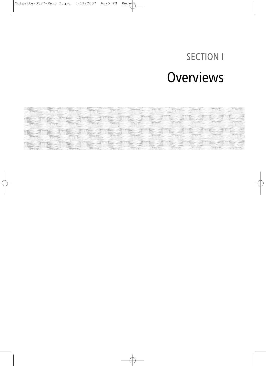# SECTION I **Overviews**

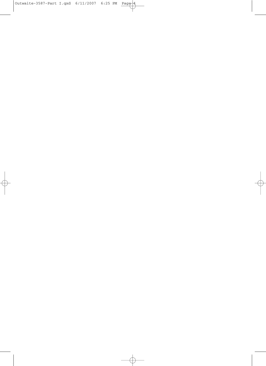$\overline{\bigoplus}$ 

 $\overline{\mathcal{A}}$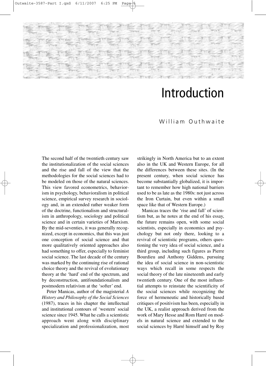# Introduction

THE SOCIAL SCIENCES SINCE WORLD WAR II: THE RISE AND FALL OF STATE AND FALL OF STATE AND FALL OF SCIENTISM STATE AND FALL OF STATE AND FALL OF STATE AND FALL OF STATE AND FALL OF STATE AND FALL OF STATE AND FALL OF STATE A

# William Outhwaite

The second half of the twentieth century saw the institutionalization of the social sciences and the rise and fall of the view that the methodologies for the social sciences had to be modeled on those of the natural sciences. This view favored econometrics, behaviorism in psychology, behavioralism in political science, empirical survey research in sociology and, in an extended rather weaker form of the doctrine, functionalism and structuralism in anthropology, sociology and political science and in certain varieties of Marxism. By the mid-seventies, it was generally recognized, except in economics, that this was just one conception of social science and that more qualitatively oriented approaches also had something to offer, especially to feminist social science. The last decade of the century was marked by the continuing rise of rational choice theory and the revival of evolutionary theory at the 'hard' end of the spectrum, and by deconstruction, antifoundationalism and postmodern relativism at the 'softer' end.

Peter Manicas, author of the magisterial *A History and Philosophy of the Social Sciences* (1987), traces in his chapter the intellectual and institutional contours of 'western' social science since 1945. What he calls a scientistic approach went along with disciplinary specialization and professionalization, most

strikingly in North America but to an extent also in the UK and Western Europe, for all the differences between these sites. (In the present century, when social science has become substantially globalized, it is important to remember how high national barriers used to be as late as the 1980s: not just across the Iron Curtain, but even within a small space like that of Western Europe.)

Manicas traces the 'rise and fall' of scientism but, as he notes at the end of his essay, the future remains open, with some social scientists, especially in economics and psychology but not only there, looking to a revival of scientistic programs, others questioning the very idea of social science, and a third group, including such figures as Pierre Bourdieu and Anthony Giddens, pursuing the idea of social science in non-scientistic ways which recall in some respects the social theory of the late nineteenth and early twentieth century. One of the most influential attempts to reinstate the scientificity of the social sciences while recognizing the force of hermeneutic and historically based critiques of positivism has been, especially in the UK, a realist approach derived from the work of Mary Hesse and Rom Harré on models in natural science and extended to the social sciences by Harré himself and by Roy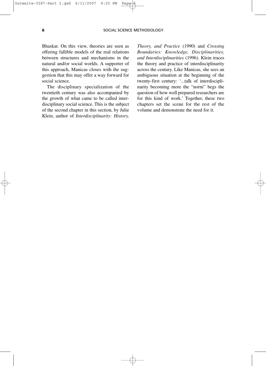#### **6** SOCIAL SCIENCE METHODOLOGY

Bhaskar. On this view, theories are seen as offering fallible models of the real relations between structures and mechanisms in the natural and/or social worlds. A supporter of this approach, Manicas closes with the suggestion that this may offer a way forward for social science.

The disciplinary specialization of the twentieth century was also accompanied by the growth of what came to be called interdisciplinary social science. This is the subject of the second chapter in this section, by Julie Klein, author of *Interdisciplinarity: History,*

*Theory, and Practice* (1990) and *Crossing Boundaries: Knowledge, Disciplinarities, and Interdisciplinarities* (1996). Klein traces the theory and practice of interdisciplinarity across the century. Like Manicas, she sees an ambiguous situation at the beginning of the twenty-first century: '...talk of interdisciplinarity becoming more the "norm" begs the question of how well prepared researchers are for this kind of work.' Together, these two chapters set the scene for the rest of the volume and demonstrate the need for it.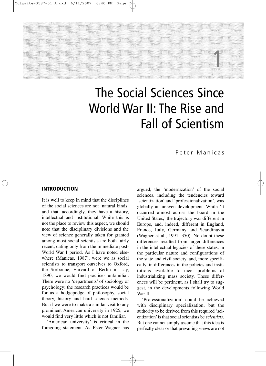# The Social Sciences Since World War II: The Rise and Fall of Scientism

Peter Manicas

1

#### **INTRODUCTION**

It is well to keep in mind that the disciplines of the social sciences are not 'natural kinds' and that, accordingly, they have a history, intellectual and institutional. While this is not the place to review this aspect, we should note that the disciplinary divisions and the view of science generally taken for granted among most social scientists are both fairly recent, dating only from the immediate post-World War I period. As I have noted elsewhere (Manicas, 1987), were we as social scientists to transport ourselves to Oxford, the Sorbonne, Harvard or Berlin in, say, 1890, we would find practices unfamiliar. There were no 'departments' of sociology or psychology; the research practices would be for us a hodgepodge of philosophy, social theory, history and hard science methods. But if we were to make a similar visit to any prominent American university in 1925, we would find very little which is not familiar.

'American university' is critical in the foregoing statement. As Peter Wagner has

argued, the 'modernization' of the social sciences, including the tendencies toward 'scientization' and 'professionalization', was globally an uneven development. While 'it occurred almost across the board in the United States,' the trajectory was different in Europe, and, indeed, different in England, France, Italy, Germany and Scandinavia (Wagner et al., 1991: 350). No doubt these differences resulted from larger differences in the intellectual legacies of these states, in the particular nature and configurations of the state and civil society, and, more specifically, in differences in the policies and institutions available to meet problems of industrializing mass society. These differences will be pertinent, as I shall try to suggest, in the developments following World War II.

'Professionalization' could be achieved with disciplinary specialization, but the authority to be derived from this required 'scientization'is that social scientists be *scientists*. But one cannot simply assume that this idea is perfectly clear or that prevailing views are not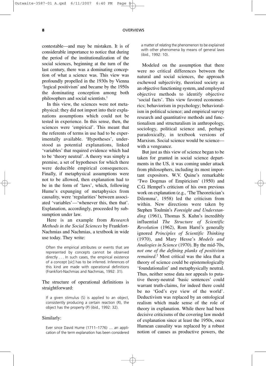OVERVIEWS

contestable—and may be mistaken. It is of considerable importance to notice that during the period of the institutionalization of the social sciences, beginning at the turn of the last century, there was a dominating conception of what a science was. This view was profoundly propelled in the 1930s by Vienna 'logical positivism' and became by the 1950s the dominating conception among both philosophers and social scientists.<sup>1</sup>

In this view, the sciences were not metaphysical: they did not import into their explanations assumptions which could not be tested in experience. In this sense, then, the sciences were 'empirical'. This meant that the referents of terms in use had to be experimentally available. 'Hypotheses', understood as potential explanations, linked 'variables' that required evidence which had to be 'theory neutral'. A theory was simply a premise, a set of hypotheses for which there were deducible empirical consequences. Finally, if metaphysical assumptions were not to be allowed, then explanation had to be in the form of 'laws', which, following Hume's expunging of metaphysics from causality, were 'regularities' between associated 'variables'—'whenever this, then that'. Explanation, accordingly, proceeded by subsumption under law.

Here is an example from *Research Methods in the Social Sciences* by Frankfort-Nachmias and Nachmias, a textbook in wide use today. They write:

Often the empirical attributes or events that are represented by concepts cannot be observed directly . . . In such cases, the empirical existence of a concept [*sic*] has to be inferred. Inferences of this kind are made with operational definitions (Frankfort-Nachmias and Nachmias, 1992: 31).

#### The structure of operational definitions is straightforward:

If a given stimulus (S) is applied to an object, consistently producing a certain reaction (R), the object has the property (P) (ibid., 1992: 32).

#### Similarly:

Ever since David Hume (1711–1776) … an application of the term explanation has been considered a matter of relating the phenomenon to be explained with other phenomena by means of general laws (ibid., 1992: 10).

Modeled on the assumption that there were no critical differences between the natural and social sciences, the approach eschewed subjectivity, theorized society as an objective functioning system, and employed objective methods to identify objective 'social facts'. This view favored econometrics; behaviorism in psychology; behavioralism in political science; and empirical survey research and quantitative methods and functionalism and structuralism in anthropology, sociology, political science and, perhaps paradoxically, in textbook versions of Marxism. Social science would be science with a vengeance.

But just as this view of science began to be taken for granted in social science departments in the US, it was coming under attack from philosophers, including its most important expositors. W.V. Quine's remarkable 'Two Dogmas of Empiricism' (1950) and C.G. Hempel's criticism of his own previous work on explanation (e.g., 'The Theoretician's Dilemma', 1958) led the criticism from within. New directions were taken by Stephen Toulmin's *Foresight and Understanding* (1961), Thomas S. Kuhn's incredibly influential *The Structure of Scientific Revolution* (1962), Rom Harré's generally ignored *Principles of Scientific Thinking* (1970), and Mary Hesse's *Models and Analogies in Science* (1970). By the mid-70s, *not one of the defining planks of positivism remained*. <sup>2</sup> Most critical was the idea that a theory of science could be epistemologically 'foundationalist' and metaphysically neutral. Thus, neither sense data nor appeals to putative theory-neutral 'basic sentences' could warrant truth-claims, for indeed there could be no 'God's eye view of the world'. Deductivism was replaced by an ontological realism which made sense of the role of theory in explanation. While there had been decisive criticisms of the covering law model of explanation since at least the 1950s, once Humean causality was replaced by a robust notion of causes as productive powers, the

**8**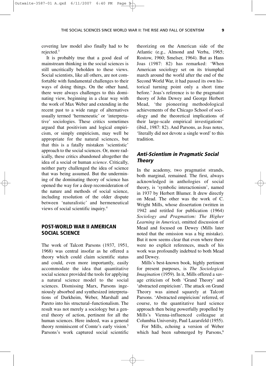covering law model also finally had to be rejected.3

It is probably true that a good deal of mainstream thinking in the social sciences is still uncritically beholden to these views. Social scientists, like all others, are not comfortable with fundamental challenges to their ways of doing things. On the other hand, there were always challenges to this dominating view, beginning in a clear way with the work of Max Weber and extending in the recent past to a wide range of alternatives usually termed 'hermeneutic' or 'interpretative' sociologies. These critics sometimes argued that positivism and logical empiricism, or simply empiricism, may well be appropriate for the natural sciences, but that this is a fatally mistaken 'scientistic' approach to the social sciences. Or, more radically, these critics abandoned altogether the idea of a social or human *science*. Critically, neither party challenged the idea of science that was being assumed. But the undermining of the dominating theory of science has opened the way for a deep reconsideration of the nature and methods of social science, including resolution of the older dispute between 'naturalistic' and hermeneutical views of social scientific inquiry.4

# **POST-WORLD WAR II AMERICAN SOCIAL SCIENCE**

The work of Talcott Parsons (1937, 1951, 1968) was central insofar as he offered a theory which could claim scientific status and could, even more importantly, easily accommodate the idea that quantitative social science provided the tools for applying a natural science model to the social sciences. Dismissing Marx, Parsons ingeniously absorbed and synthesized interpretations of Durkheim, Weber, Marshall and Pareto into his structural–functionalism. The result was not merely a sociology but a general theory of action, pertinent for all the human sciences. Here indeed, was a general theory reminiscent of Comte's early vision.<sup>5</sup> Parsons's work captured social scientific theorizing on the American side of the Atlantic (e.g., Almond and Verba, 1965; Rostow, 1960; Smelser, 1964). But as Hans Joas (1987: 82) has remarked: 'When American sociology set on its triumphal march around the world after the end of the Second World War, it had passed its own historical turning point only a short time before.' Joas's reference is to the pragmatist theory of John Dewey and George Herbert Mead, 'the pioneering methodological achievements of the Chicago School of sociology and the theoretical implications of their large-scale empirical investigations' (ibid., 1987: 82). And Parsons, as Joas notes, 'literally did not devote a single word' to this tradition.

# **Anti-Scientism in Pragmatic Social Theory**

In the academy, two pragmatist strands, both marginal, remained. The first, always acknowledged in anthologies of social theory, is 'symbolic interactionism', named in 1937 by Herbert Blumer. It drew directly on Mead. The other was the work of C. Wright Mills, whose dissertation (written in 1942 and retitled for publication (1964) *Sociology and Pragmatism: The Higher Learning in America*), omitted discussion of Mead and focused on Dewey (Mills later noted that the omission was a big mistake). But it now seems clear that even where there were no explicit references, much of his work was profoundly indebted to both Mead and Dewey.

Mills's best-known book, highly pertinent for present purposes, is *The Sociological Imagination* (1959). In it, Mills offered a savage criticism of both 'Grand Theory' and 'abstracted empiricism'. The attack on Grand Theory was aimed squarely at Talcott Parsons. 'Abstracted empiricism' referred, of course, to the quantitative hard science approach then being powerfully propelled by Mills's Vienna-influenced colleague at Columbia University, Paul Lazarsfeld (1955).

For Mills, echoing a version of Weber which had been submerged by Parsons,<sup>6</sup>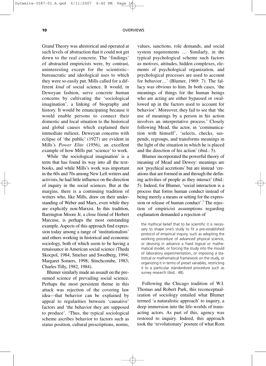#### OVERVIEWS

Grand Theory was ahistorical and operated at such levels of abstraction that it could not get down to the real concrete. The 'findings' of abstracted empiricists were, by contrast, uninteresting except for the scientistic– bureaucratic and ideological uses to which they were so easily put. Mills called for a different *kind* of social science. It would, in Deweyan fashion, serve concrete human concerns by cultivating the 'sociological imagination', a linking of biography and history. It would be emancipating because it would enable persons to connect their domestic and local situation to the historical and global causes which explained their immediate milieux. Deweyan concerns with eclipse of 'the public' (1927) are evident in Mills's *Power Elite* (1956), an excellent example of how Mills put 'science' to work.

While 'the sociological imagination' is a term that has found its way into all the textbooks, and while Mills's work was important in the 60s and 70s among New Left writers and activists, he had little influence on the direction of inquiry in the social sciences. But at the margins, there is a continuing tradition of writers who, like Mills, draw on their understanding of Weber and Marx, even while they are explicitly non-Marxist. In this tradition, Barrington Moore Jr, a close friend of Herbert Marcuse, is perhaps the most outstanding example. Aspects of this approach find expression today among a range of 'institutionalists' and others working in historical and economic sociology, both of which seem to be having a renaissance in American social science (Theda Skocpol, 1984; Smelser and Swedberg, 1994; Margaret Somers, 1998; Stinchcombe, 1983; Charles Tilly, 1982, 1984).

Blumer similarly made an assault on the presumed science of prevailing social science. Perhaps the most persistent theme in this attack was rejection of the covering law idea—that behavior can be explained by appeal to regularities between 'causative' factors and 'the behavior they are supposed to produce'. 'Thus, the typical sociological scheme ascribes behavior to factors such as status position, cultural prescriptions, norms,

values, sanctions, role demands, and social system requirements … Similarly, in the typical psychological scheme such factors as motives, attitudes, hidden complexes, elements of psychological organization, and psychological processes are used to account for behavior…' (Blumer, 1969: 7). The fallacy was obvious to him. In both cases, 'the meanings of things for the human beings who are acting are either bypassed or swallowed up in the factors used to account for behavior'. Moreover, they fail to see that 'the use of meanings by a person in his action involves an interpretative process.' Closely following Mead, the actor, in 'communication with himself', 'selects, checks, suspends, regroups, and transforms meanings in the light of the situation in which he is placed and the direction of his action' (ibid.: 5).

Blumer incorporated the powerful theory of meaning of Mead and Dewey: meanings are not 'psychical accretions' but are instead 'creations that are formed in and through the defining activities of people as they interact' (ibid.: 5). Indeed, for Blumer, 'social interaction is a process that forms human conduct instead of being merely a means or setting for the expression or release of human conduct'.7 The rejection of empiricist assumptions regarding explanation demanded a rejection of

the mythical belief that to be scientific it is necessary to shape one's study to fit a pre-established protocol of empirical inquiry, such as adopting the working procedure of advanced physical science, or devising in advance a fixed logical or mathematical model, or forcing the study into the mould of laboratory experimentation, or imposing a statistical or mathematical framework on the study, or organizing it in terms of preset variables, restricting it to a particular standardized procedure such as survey research (ibid.: 48).

Following the Chicago tradition of W.I. Thomas and Robert Park, this reconceptualization of sociology entailed what Blumer termed 'a naturalistic approach' to inquiry, a deep immersion into the life-worlds of transacting actors. As part of this, agency was restored to inquiry. Indeed, this approach took the 'revolutionary' posture of what Rom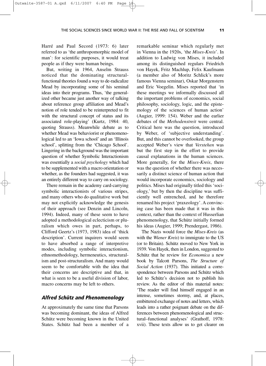Harré and Paul Secord (1973: 6) later referred to as 'the anthropomorphic model of man': for scientific purposes, it would treat people as if they were human beings.

Outwaite-3587-01 A.qxd 6/11/2007

But, writing in 1964, Anselm Strauss noticed that the dominating structuralfunctional theories found a way to de-radicalize Mead by incorporating some of his seminal ideas into their programs. Thus, 'the generalized other became just another way of talking about reference group affiliation and Mead's notion of role tended to be reinterpreted to fit with the structural concept of status and its associated role-playing' (Kurtz, 1984: 40, quoting Strauss). Meanwhile debate as to whether Mead was behaviorist or phenomenological led to an 'Iowa school' and an 'Illinois school', splitting from the 'Chicago School'. Lingering in the background was the important question of whether Symbolic Interactionism was essentially a *social psychology* which had to be supplemented with a macro orientation or whether, as the founders had suggested, it was an entirely different way to carry on sociology.

There remain in the academy card-carrying symbolic interactionists of various stripes, and many others who do qualitative work but may not explicitly acknowledge the genesis of their approach (see Denzin and Lincoln, 1994). Indeed, many of these seem to have adopted a methodological eclecticism or pluralism which owes in part, perhaps, to Clifford Geertz's (1973, 1983) idea of 'thick description'. Current inquirers would seem to have absorbed a range of interpretive modes, including symbolic interactionism, ethnomethodology, hermeneutics, structuralism and post-structuralism. And many would seem to be comfortable with the idea that their concerns are descriptive and that, in what is seen to be a useful division of labor, macro concerns may be left to others.

# **Alfred Schütz and Phenomenology**

At approximately the same time that Parsons was becoming dominant, the ideas of Alfred Schütz were becoming known in the United States. Schütz had been a member of a remarkable seminar which regularly met in Vienna in the 1920s, 'the *Mises*-*Kreis*'. In addition to Ludwig von Mises, it included among its distinguished regulars Friedrich von Hayek, Fritz Machlup, Felix Kaufmann (a member also of Moritz Schlick's more famous Vienna seminar), Oskar Morgenstern and Eric Voegelin. Mises reported that 'in these meetings we informally discussed all the important problems of economics, social philosophy, sociology, logic, and the epistemology of the sciences of human action' (Augier, 1999: 154). Weber and the earlier debates of the *Methodenstreit* were central. Critical here was the question, introduced by Weber, of 'subjective understanding'. But, and this cannot be overlooked, the group accepted Weber's view that *Verstehen* was but the first step in the effort to provide causal explanations in the human sciences. More generally, for the *Mises*-*Kreis*, there was the question of whether there was necessarily a distinct science of human action that would incorporate economics, sociology and politics. Mises had originally titled this 'sociology,' but by then the discipline was sufficiently well entrenched, and he therefore renamed his project 'praxeology'. A convincing case has been made that it was in this context, rather than the context of Husserlian phenomenology, that Schütz initially formed his ideas (Augier, 1999; Prendergast, 1986).

The Nazis would force the *Mises-Kreis* (as with the *Wiener Kreis*) to immigrate to the US (or to Britain). Schütz moved to New York in 1939. Von Hayek, then in London, suggested to Schütz that he review for *Economica* a new book by Talcott Parsons, *The Structure of Social Action* (1937). This initiated a correspondence between Parsons and Schütz which led to Schütz's decision not to publish his review. As the editor of this material notes: 'The reader will find himself engaged in an intense, sometimes stormy, and, at places, embittered exchange of notes and letters, which leads into a rather poignant debate on the differences between phenomenological and structural–functional analyses' (Grathoff, 1978: xvii). These texts allow us to get clearer on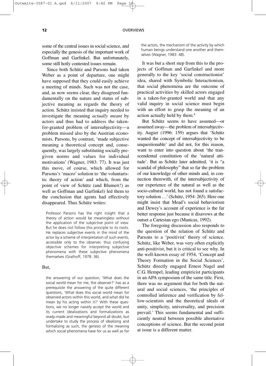some of the central issues in social science, and especially the genesis of the important work of Goffman and Garfinkel. But unfortunately, some still hotly contested issues remain.

Since both Schütz and Parsons had taken Weber as a point of departure, one might have supposed that they could easily achieve a meeting of minds. Such was not the case, and, as now seems clear, they disagreed fundamentally on the nature and status of subjective meaning as regards the theory of action. Schütz insisted that inquiry needed to investigate the meaning *actually meant* by actors and thus had to address the takenfor-granted problem of intersubjectivity—a problem missed also by the Austrian economists. Parsons, by contrast, 'made subjective meaning a theoretical concept and, consequently, was largely substituting socially pregiven norms and values for individual motivations' (Wagner, 1983: 77). It was just this move, of course, which allowed for Parsons's 'macro' solution to 'the voluntaristic theory of action' and which, from the point of view of Schütz (and Blumer(!) as well as Goffman and Garfinkel) led them to the conclusion that agents had effectively disappeared. Thus Schütz writes:

Professor Parsons has the right insight that a theory of action would be meaningless without the application of the subjective point of view. But he does not follow this principle to its roots. He replaces subjective events in the mind of the actor by a scheme of interpretation of such events, accessible only to the observer, thus confusing objective schemes for interpreting subjective phenomena with these subjective phenomena themselves (Grathoff, 1978: 36).

#### But,

the answering of our question, 'What does the social world mean for me, the observer?' has as a prerequisite the answering of the quite different questions, 'What does this social world mean for observed actors within this world, and what did he mean by his acting within it?' With these questions, we no longer naively accept the world and its current idealizations and formalizations as ready-made and meaningful beyond all doubt, but undertake to study the process of idealizing and formalizing as such, the genesis of the meaning which social phenomena have for us as well as for

the actors, the mechanism of the activity by which human beings understand one another and themselves (Wagner, 1983: 48).

It was but a short step from this to the projects of Goffman and Garfinkel and more generally to the key 'social constructionist' idea, shared with Symbolic Interactionism, that social phenomena are the outcome of practical activities by skilled actors engaged in a taken-for-granted world and that any valid inquiry in social science must begin with an effort to grasp the meaning of an action actually held by them.<sup>8</sup>

But Schütz seems to have assumed—or assumed away—the problem of intersubjectivity. Augier (1996: 159) argues that 'Schütz wanted the concept of intersubjectivity to be unquestionable' and did not, for this reason, want to enter into question about 'the transcendental constitution of the 'natural attitude'. But as Schütz later admitted, 'it is "a scandal of philosophy" that so far the problem of our knowledge of other minds and, in connection therewith, of the intersubjectivity of our experience of the natural as well as the socio-cultural world, has not found a satisfactory solution …'(Schütz, 1954: 265). Here one might insist that Mead's social behaviorism and Dewey's account of experience is the far better response just because it disavows at the outset a Cartesian ego (Manicas, 1992).

The foregoing discussion also responds to the question of the relation of Schütz and Parsons to a 'positivist' theory of science. Schütz, like Weber, was very often explicitly anti-positivist, but it is critical to see why. In the well-known essay of 1954, 'Concept and Theory Formation in the Social Sciences', Schütz directly engaged Ernest Nagel and C.G. Hempel, leading empiricist participants in an APA symposium of the same title. First, there was no argument that for both the natural and social sciences, 'the principles of controlled inference and verification by fellow-scientists and the theoretical ideals of unity, simplicity, universality, and precision prevail.' This seems fundamental and sufficiently neutral between possible alternative conceptions of science. But the second point at issue is a different matter.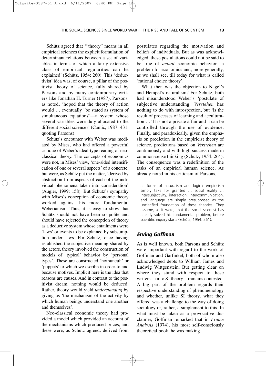Schütz agreed that '"theory" means in all empirical sciences the explicit formulation of determinant relations between a set of variables in terms of which a fairly extensive class of empirical regularities can be explained' (Schütz, 1954: 260). This 'deductivist' idea was, of course, a pillar of the positivist theory of science, fully shared by Parsons and by many contemporary writers like Jonathan H. Turner (1987). Parsons, as noted, 'hoped that the theory of action would … eventually "be stated as system of simultaneous equations"—a system whose several variables were duly allocated to the different social sciences' (Camic, 1987: 431, quoting Parsons).

Outwaite-3587-01 A.qxd 6/11/2007 6:40 PM Page

Schütz's encounter with Weber was mediated by Mises, who had offered a powerful critique of Weber's ideal-type reading of neoclassical theory. The concepts of economics were not, in Mises' view, 'one-sided intensification of one or several aspects' of a concrete, but were, as Schütz put the matter, 'derived by abstraction from aspects of each of the individual phenomena taken into consideration' (Augier, 1999: 158). But Schütz's sympathy with Mises's conception of economic theory worked against his more fundamental Weberianism. Thus, it is easy to show that Schütz should not have been so polite and should have rejected the conception of theory as a deductive system whose entailments were 'laws' or events to be explained by subsumption under laws. For Schütz, once having established the subjective meaning shared by the actors, theory involved the construction of models of 'typical' behavior by 'personal types'. These are constructed 'homunculi' or 'puppets' to which we ascribe in-order-to and because motives. Implicit here is the idea that reasons are causes. And in contrast to the positivist dream, nothing would be deduced. Rather, theory would yield *understanding* by giving us 'the mechanism of the activity by which human beings understand one another and themselves'.

Neo-classical economic theory had provided a model which provided an account of the mechanisms which produced prices, and these were, as Schütz agreed, derived from postulates regarding the motivation and beliefs of individuals. But as was acknowledged, these postulations could not be said to be true of *actual* economic behavior—a problem for economics and, more generally, as we shall see, till today for what is called 'rational choice theory'.

What then was the objection to Nagel's and Hempel's naturalism? For Schütz, both had misunderstood Weber's 'postulate of subjective understanding. *Verstehen* has nothing to do with introspection, but 'is the result of processes of learning and acculturation …' It is not a private affair and it can be controlled through the use of evidence. Finally, and paradoxically, given the emphasis on prediction in the empiricist theory of science, predictions based on *Verstehen* are continuously and with high success made in common-sense thinking (Schütz, 1954: 264). The consequence was a redefinition of the tasks of an empirical human science. As already noted in his criticism of Parsons,

all forms of naturalism and logical empiricism simply take for granted … social reality … Intersubjectivity, interaction, intercommunication, and language are simply presupposed as the unclarified foundation of these theories. They assume, as it were, that the social scientist has already solved his fundamental problem, before scientific inquiry starts (Schütz, 1954: 261).

### **Erving Goffman**

As is well known, both Parsons and Schütz were important with regard to the work of Goffman and Garfinkel, both of whom also acknowledged debts to William James and Ludwig Wittgenstein. But getting clear on where they stand with respect to these writers—or to SI theory—remains contested. A big part of the problem regards their respective understanding of phenomenology and whether, unlike SI theory, what they offered was a challenge to the way of doing sociology or, rather, a supplement to this. In what must be taken as a provocative disclaimer, Goffman remarked that in *Frame Analysis* (1974), his most self-consciously theoretical book, he was making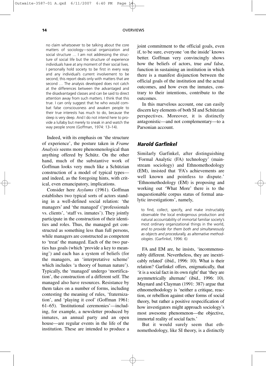#### **14** OVERVIEWS

no claim whatsoever to be talking about the core matters of sociology—social organization and social structure … I am not addressing the structure of social life but the structure of experience individuals have at any moment of their social lives. I personally hold society to be first in every way and any individual's current involvement to be second; this report deals only with matters that are second … The analysis developed does not catch at the differences between the advantaged and the disadvantaged classes and can be said to direct attention away from such matters. I think that this true. I can only suggest that he who would combat false consciousness and awaken people to their true interests has much to do, because the sleep is very deep. And I do not intend here to provide a lullaby but merely to sneak in and watch the way people snore (Goffman, 1974: 13–14).

Indeed, with its emphasis on 'the structure of experience', the posture taken in *Frame Analysis* seems more phenomenological than anything offered by Schütz. On the other hand, much of the substantive work of Goffman looks very much like a Schützian construction of a model of typical types and indeed, as the foregoing hints, with critical, even emancipatory, implications.

Consider here *Asylums* (1961). Goffman establishes two typical sorts of actors standing in a well-defined social relation: 'the managers' and 'the managed' ('professionals vs. clients', 'staff vs. inmates'). They jointly participate in the construction of their identities and roles. Thus, the managed get constructed as something less than full persons, while managers are constructed as competent to 'treat' the managed. Each of the two parties has goals (which 'provide a key to meaning') and each has a system of beliefs (for the managers, an 'interpretative scheme' which includes 'a theory of human nature'). Typically, the 'managed' undergo 'mortification', the construction of a different self. The managed also have resources. Resistance by them takes on a number of forms, including contesting the meaning of rules, 'fraternization', and 'playing it cool' (Goffman 1961: 61–65). 'Institutional ceremonies'—including, for example, a newsletter produced by inmates, an annual party and an open house—are regular events in the life of the institution. These are intended to produce a joint commitment to the official goals, even if, to be sure, everyone 'on the inside' knows better. Goffman very convincingly shows how the beliefs of actors, true *and* false, function in sustaining an institution in which there is a manifest disjunction between the official goals of the institution and the actual outcomes, and how even the inmates, contrary to their intentions, contribute to the outcomes.

In this marvelous account, one can easily discern key elements of both SI and Schützian perspectives. Moreover, it is distinctly antagonistic—and not complementary—to a Parsonian account.

#### **Harold Garfinkel**

Similarly Garfinkel, after distinguishing 'Formal Analytic (FA) technology' (mainstream sociology) and Ethnomethodology (EM), insisted that 'FA's achievements are well known and pointless to dispute.' 'Ethnomethodology (EM) is proposing and working out 'What More' there is to the unquestionable corpus status of formal analytic investigations', namely,

to find, collect, specify, and make instructably observable the local endogenous production and natural accountability of immortal familiar society's most ordinary organizational things in the world, *and to provide for them both and simultaneously as objects and procedurally, as alternative methodologies*. (Garfinkel, 1996: 6)

FA and EM are, he insists, 'incommensurably different. Nevertheless, they are inextricably related' (ibid., 1996: 10). What is their relation? Garfinkel offers, enigmatically, that 'it is a social fact in its own right' that 'they are asymmetrically alternate' (ibid., 1996: 10). Maynard and Clayman (1991: 387) argue that ethnomethodology is 'neither a critique, reaction, or rebellion against other forms of social theory, but rather a positive respecification of how investigators might approach sociology's most awesome phenomenon—the objective, immortal reality of social facts.'

But it would surely seem that ethnomethodology, like SI theory, is a distinctly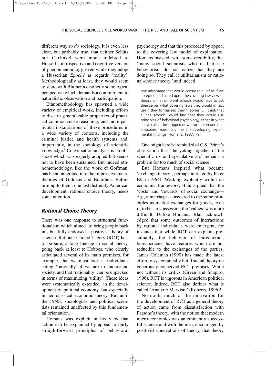different way *to do* sociology. It is even less clear, but probably true, that neither Schütz nor Garfinkel were much indebted to Husserl's introspective and cognitive version of phenomenonology, even while they adopt a Husserlian *Epoché* as regards 'reality'. Methodologically at least, they would seem to share with Blumer a distinctly sociological perspective which demands a commitment to naturalistic observation and participation.

Outwaite-3587-01 A.qxd 6/11/2007 6:40 PM Page

Ethnomethodology has spawned a wide variety of empirical work, including efforts to discern generalizable properties of practical common-sense reasoning, and more particular instantiations of these procedures in a wide variety of contexts, including the criminal justice and health systems and, importantly, in the sociology of scientific knowledge.<sup>9</sup> Conversation analysis is an offshoot which was eagerly adopted but seems not to have been sustained. But indeed ethnomethodology, like the work of Goffman, has been integrated into the impressive metatheories of Giddens and Bourdieu. Before turning to them, one last distinctly American development, rational choice theory, needs some attention.

#### **Rational Choice Theory**

There was one response to structural functionalism which aimed 'to bring people back in', but fully endorsed a positivist theory of science. Rational Choice Theory (RCT) has, to be sure, a long lineage in social theory, going back at least to Hobbes, who clearly articulated several of its main premises, for example, that we must look at individuals acting 'rationally' if we are to understand society, and that 'rationality' can be unpacked in terms of maximizing 'utility'. These ideas were systematically extended in the development of political economy, but especially in neo-classical economic theory. But until the 1950s, sociologists and political scientists remained unaffected by this fundamental orientation.

Homans was explicit in his view that action can be explained by appeal to fairly straightforward principles of behavioral

psychology and that this proceeded by appeal to the covering law model of explanation. Homans insisted, with some credibility, that 'many social scientists who in fact use behaviorism do not realize that they are doing so. They call it utilitarianism or rational-choice theory,' and indeed,

one advantage that would accrue to all of us if we accepted and acted upon the covering law view of theory is that different schools would have to ask themselves what covering laws they would in fact use if they formalized their theories … I think that all the schools would find that they would use principles of behavioral psychology, either in what I have called the stripped down form or in one that embodies more fully the still-developing experimental findings (Homans, 1987: 79).

One might here be reminded of C.S. Peirce's observation that 'the yoking together of the scientific ox and speculative ass' remains a problem for too much of social science.

But Homans inspired what became 'exchange theory', perhaps initiated by Peter Blau (1964). Working explicitly within an economic framework, Blau argued that the 'costs' and 'rewards' of social exchange e.g., a marriage—answered to the same principles as market exchanges for goods, even if, to be sure, assessing the 'values' was more difficult. Unlike Homans, Blau acknowledged that some outcomes of interactions by rational individuals were emergent, for instance that while RCT can explain, presumably, the behavior of bureaucrats, bureaucracies have features which are not reducible to the exchanges of the parties. James Coleman (1990) has made the latest effort to systematically build social theory on generously conceived RCT premises. While not without its critics (Green and Shapiro, 1996), RCT is vigorous in American political science. Indeed, RCT also defines what is called 'Analytic Marxism' (Roberts, 1996)!

No doubt much of the motivation for the development of RCT as a general theory of action came from dissatisfaction with Parsons's theory, with the notion that modern micro-economics was an eminently successful science and with the idea, encouraged by positivist conceptions of theory, that theory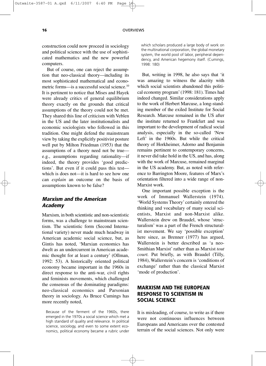construction could now proceed in sociology and political science with the use of sophisticated mathematics and the new powerful computers.

But of course, one can reject the assumption that neo-classical theory—including its most sophisticated mathematical and econometric forms—is a successful social science.10 It is pertinent to notice that Mises and Hayek were already critics of general equilibrium theory exactly on the grounds that critical assumptions of the theory could not be met. They shared this line of criticism with Veblen in the US and the later institutionalists and economic sociologists who followed in this tradition. One might defend the mainstream view by taking the explicitly positivist posture well put by Milton Friedman (1953) that the assumptions of a theory need not be true e.g., assumptions regarding rationality—if indeed, the theory provides 'good predictions'. But even if it could pass this test which is does not—it is hard to see how one can *explain* an outcome on the basis of assumptions known to be false?

# **Marxism and the American Academy**

Marxism, in both scientistic and non-scientistic forms, was a challenge to mainstream scientism. The scientistic form (Second International variety) never made much headway in American academic social science, but, as Gintis has noted, 'Marxian economics has dwelt as an undercurrent in American academic thought for at least a century' (Ollman, 1992: 53). A historically oriented political economy became important in the 1960s in direct response to the anti-war, civil rights and feminists movements, which challenged the consensus of the dominating paradigms: neo-classical economics and Parsonian theory in sociology. As Bruce Cumings has more recently noted,

Because of the ferment of the 1960s, there emerged in the 1970s a social science which met a high standard of quality and relevance. In political science, sociology, and even to some extent economics, political economy became a rubric under which scholars produced a large body of work on the multinational corporation, the global monetary system, the world pool of labor, peripheral dependency, and American hegemony itself. (Cumings, 1998: 180)

But, writing in 1998, he also says that 'it was amazing to witness the alacrity with which social scientists abandoned this political economy program' (1998: 181). Times had indeed changed. Similar considerations apply to the work of Herbert Marcuse, a long-standing member of the exiled Institute for Social Research. Marcuse remained in the US after the institute returned to Frankfurt and was important to the development of radical social analysis, especially in the so-called 'New Left' in the 1960s. But while the critical theory of Horkheimer, Adorno and Benjamin remains pertinent to contemporary concerns, it never did take hold in the US, and has, along with the work of Marcuse, remained marginal in the US academy. But, as noted with reference to Barrington Moore, features of Marx's orientation filtered into a wide range of non-Marxist work.

One important possible exception is the work of Immanuel Wallerstein (1974). 'World Systems Theory' certainly entered the thinking and vocabulary of many social scientists, Marxist and non-Marxist alike. Wallerstein drew on Braudel, whose 'structuralism' was a part of the French structuralist movement. We say 'possible exception' here since, as Brenner (1977) has argued, Wallerstein is better described as 'a neo-Smithian Marxist' rather than as Marxist *tout court.* Put briefly, as with Braudel (Tilly, 1984), Wallerstein's concern is 'conditions of exchange' rather than the classical Marxist 'mode of production'.

# **MARXISM AND THE EUROPEAN RESPONSE TO SCIENTISM IN SOCIAL SCIENCE**

It is misleading, of course, to write as if there were not continuous influences between Europeans and Americans over the contested terrain of the social sciences. Not only were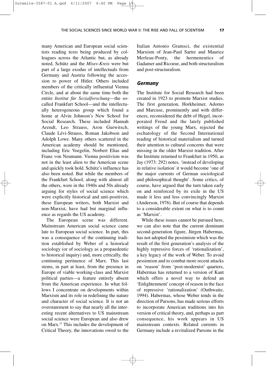many American and European social scientists reading texts being produced by colleagues across the Atlantic but, as already noted, Schütz and the *Mises-Kreis* were but part of a large exodus of intellectuals from Germany and Austria following the accession to power of Hitler. Others included members of the critically influential Vienna Circle, and at about the same time both the entire *Institut für Sozialforschung*—the socalled Frankfurt School—and the intellectually heterogeneous group which found a home at Alvin Johnson's New School for Social Research*.* These included Hannah Arendt, Leo Strauss, Aron Gurwitsch, Claude Lévi-Strauss, Roman Jakobson and Adolph Lowe. Many others scattered in the American academy should be mentioned, including Eric Voegelin, Norbert Elias and Franz von Neumann. Vienna positivism was not in the least alien to the American scene and quickly took hold. Schütz's influence has also been noted. But while the members of the Frankfurt School, along with almost all the others, were in the 1940s and 50s already arguing for styles of social science which were explicitly historical and anti-positivist, these European writers, both Marxist and non-Marxist, have had but marginal influence as regards the US academy.

Outwaite-3587-01 A.qxd 6/11/2007

The European scene was different. Mainstream American social science came late to European social science. In part, this was a consequence of the continuing tradition established by Weber of a historical sociology (or of sociology as a propaedeutic to historical inquiry) and, more critically, the continuing pertinence of Marx. This last stems, in part at least, from the presence in Europe of viable working-class and Marxist political parties—a feature entirely absent from the American experience. In what follows I concentrate on developments within Marxism and its role in redefining the nature and character of social science. It is not an overstatement to say that nearly all the interesting recent alternatives to US mainstream social science were European and also drew on Marx.11 This includes the development of Critical Theory, the innovations owed to the Italian Antonio Gramsci, the existential Marxism of Jean-Paul Sartre and Maurice Merleau-Ponty, the hermeneutics of Gadamer and Ricoeur, and both structuralism and post-structuralism.

### **Germany**

The Institute for Social Research had been created in 1923 to promote Marxist studies. The first generation, Horkheimer, Adorno and Marcuse, prominently and with differences, reconsidered the debt of Hegel, incorporated Freud and the lately published writings of the young Marx, rejected the eschatology of the Second International reading of historical materialism and turned their attention to cultural concerns that were missing in the older Marxist tradition. After the Institute returned to Frankfurt in 1950, as Jay (1973: 292) notes, 'instead of developing in relative isolation' it would become 'one of the major currents of German sociological and philosophical thought'. Some critics, of course, have argued that the turn taken early on and reinforced by its exile in the US made it less and less convincingly Marxist (Anderson, 1976). But of course that depends to a considerable extent on what is to count as 'Marxist'.

While these issues cannot be pursued here, we can also note that the current dominant second-generation figure, Jürgen Habermas, has not adopted the pessimism which was the result of the first generation's analysis of the highly repressive forces of 'rationalization', a key legacy of the work of Weber. To avoid pessimism and to combat more recent attacks on 'reason' from 'post-modernist' quarters, Habermas has returned to a version of Kant which offers a novel way to defend an 'Enlightenment' concept of reason in the face of repressive 'rationalization' (Outhwaite, 1994). Habermas, whose Weber tends in the direction of Parsons, has made serious efforts to incorporate American traditions into his version of critical theory, and, perhaps as part consequence, his work appears in US mainstream contexts. Related currents in Germany include a revitalized Parsons in the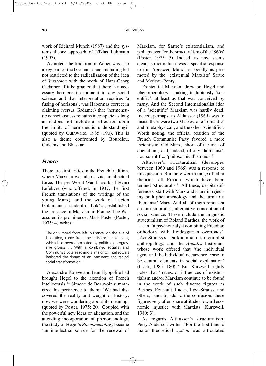**18**

work of Richard Münch (1987) and the systems theory approach of Niklas Luhmann (1997).

As noted, the tradition of Weber was also a key part of the German scene, including but not restricted to the radicalization of the idea of *Verstehen* with the work of Hans-Georg Gadamer. If it be granted that there is a necessary hermeneutic moment in any social science and that interpretation requires 'a fusing of horizons', was Habermas correct in claiming (versus Gadamer) that 'hermeneutic consciousness remains incomplete as long as it does not include a reflection upon the limits of hermeneutic understanding?' (quoted by Outhwaite, 1985: 190). This is also a theme confronted by Bourdieu, Giddens and Bhaskar.

#### **France**

There are similarities in the French tradition, where Marxism was also a vital intellectual force. The pre-World War II work of Henri Lefebvre (who offered, in 1937, the first French translations of the writings of the young Marx), and the work of Lucien Goldmann, a student of Lukács, established the presence of Marxism in France. The War assured its prominence. Mark Poster (Poster, 1975: 4) writes:

The only moral force left in France, on the eve of Liberation, came from the resistance movement, which had been dominated by politically progressive groups … With a combined socialist and Communist vote reaching a majority, intellectuals harbored the dream of an imminent and radical social transformation.'

Alexandre Kojève and Jean Hyppolite had brought Hegel to the attention of French intellectuals.12 Simone de Beauvoir summarized his pertinence to them: 'We had discovered the reality and weight of history; now we were wondering about its meaning' (quoted by Poster, 1975: 20). Coupled with the powerful new ideas on alienation, and the attending incorporation of phenomenology, the study of Hegel's *Phenomenology* became 'an intellectual source for the renewal of Marxism, for Sartre's existentialism, and perhaps even for the structuralism of the 1960s' (Poster, 1975: 5). Indeed, as now seems clear, 'structuralism' was a specific response to this 'renewed Marx', especially as promoted by the 'existential Marxists' Sartre and Merleau-Ponty.

Existential Marxism drew on Hegel and phenomenology—making it dubiously 'scientific', at least as that was conceived by many. And the Second Internationalist idea of a 'scientific' Marxism was hardly dead. Indeed, perhaps, as Althusser (1969) was to insist, there were two Marxes, one 'romantic' and 'metaphysical', and the other 'scientific'. Worth noting, the official position of the French Communist Party favored a more 'scientistic' Old Marx, 'shorn of the idea of alienation', and, indeed, of any 'humanist', non-scientific, 'philosophical' strands.13

Althusser's structuralism (developed between 1960 and 1965) was a response to this question. But there were a range of other theories—all French—which have been termed 'structuralist'. All these, despite differences, start with Marx and share in rejecting both phenomenology and the turn to a 'humanist' Marx. And all of them represent an anti-empiricist, alternative conception of social science. These include the linguistic structuralism of Roland Barthes, the work of Lacan, 'a psychoanalyst combining Freudian orthodoxy with Heideggarian overtones', Lévi-Strauss's Durkheimiam structuralist anthropology, and the *Annales* historians whose work offered that 'the individual agent and the individual occurrence cease to be central elements in social explanation' (Clark, 1985: 180).<sup>14</sup> But Kurzweil rightly notes that 'traces, or influences of existentialism and/or Marxism continue to be found in the work of such diverse figures as Barthes, Foucault, Lacan, Lévi-Strauss, and others,' and, to add to the confusion, these figures very often share attitudes toward economic injustice with Marxists (Kurzweil, 1980: 3).

As regards Althusser's structuralism, Perry Anderson writes: 'For the first time, a major theoretical *system* was articulated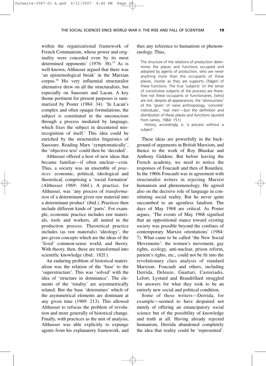within the organizational framework of French Communism, whose power and originality were conceded even by its most determined opponents'  $(1976: 38).$ <sup>15</sup> As is well-known, Althusser argued that there was 'an epistemological break' in the Marxian corpus.16 His very influential structuralist alternative drew on all the structuralists, but especially on Saussure and Lacan. A key theme pertinent for present purposes is summarized by Poster (1984: 34): 'In Lacan's complex and often opaque formulations, the subject is constituted in the unconscious through a process mediated by language, which fixes the subject in decentered misrecognition of itself.' This idea could be enriched by the structuralist linguistics of Saussure. Reading Marx 'symptomatically', the 'objective text' could then be 'decoded'.

Althusser offered a host of new ideas that became familiar—if often unclear—coin. Thus, a society was an ensemble of *practices*: economic, political, ideological and theoretical, comprising a 'social formation' (Althusser 1969: 166f.). A practice, for Althusser, was 'any process of *transformation* of a determinant given raw material into a determinant product' (ibid.). Practices then include different kinds of 'parts'. For example, economic practice includes raw materials, tools and workers, all united in the production process. Theoretical practice includes (as raw materials) 'ideology', the pre-given concepts which are the ideas of the 'lived' common-sense world, and theory. With theory, then, these are transformed into scientific knowledge (ibid.: 182f.).

An enduring problem of historical materialism was the relation of the 'base' to the 'superstructure'. This was 'solved' with the idea of 'structure in dominance'. The elements of the 'totality' are asymmetrically related. But the base 'determines' which of the asymmetrical elements are dominant at any given time (1969: 213). This allowed Althusser to refocus the problem of revolution and more generally of historical change. Finally, with practices as the unit of analysis, Althusser was able explicitly to expunge agents from his explanatory framework, and thus any reference to humanism or phenomenology. Thus,

The structure of the relations of production determines the places and functions occupied and adopted by agents of production, who are never anything more than the occupants of these places, insofar as they are supports (*Träger)* of these functions. The true 'subjects' (in the sense of constitutive subjects of the process) are therefore not these occupants or functionaries, [who] are not, despite all appearances, the 'obviousness' of the 'given' of naïve anthropology, 'concrete' individuals', 'real men'—*but the definition and distribution of these places and functions* (quoted from James, 1984: 151).

History, accordingly, is 'a process without a subject'.

These ideas are powerfully in the background of arguments in British Marxism, and thence to the work of Roy Bhaskar and Anthony Giddens. But before leaving the French academy, we need to notice the responses of Foucault and then of Bourdieu. In the 1960s Foucault was in agreement with structuralist writers in rejecting Marxist humanism and phenomenology. He agreed also on the decisive role of language in constituting social reality. But he never quite succumbed to an agentless fatalism. The days of May 1968 are critical. As Poster argues, 'The events of May 1968 signified that an oppositional stance toward existing society was possible beyond the confines of contemporary Marxist orientations' (1984: 7). What came to be called 'the New Social Movements': the women's movement, gay rights, ecology, anti-nuclear, prison reform, patient's rights, etc., could not be fit into the revolutionary class analysis of standard Marxism. Foucault and others, including Derrida, Deleuze, Guattari, Castoriadis, Lefort, Lyotard and Braudrillard struggled for answers for what they took to be an entirely new social and political condition.

Some of these writers—Derrida, for example—seemed to have despaired not merely of offering an emancipatory social science but of the possibility of knowledge and truth at all. Having already rejected humanism, Derrida abandoned completely the idea that reality could be 'represented'.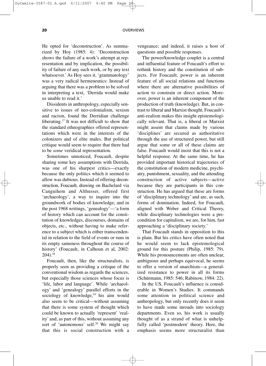**20**

He opted for 'deconstruction'. As summarized by Hoy (1985: 4): 'Deconstruction shows the failure of a work's attempt at representation and by implication, the possibility of failure of any such work, or by any text whatsoever.'As Hoy sees it, 'grammatology' was a very radical hermeneutics: Instead of arguing that there was a problem to be solved in interpreting a text, 'Derrida would make us unable to read it.'

Dissidents in anthropology, especially sensitive to issues of neo-colonialism, sexism and racism, found the Derridian challenge liberating.17 It was not difficult to show that the standard ethnographies offered representations which were in the interests of the colonizers and of elite males. But political critique would seem to require that there had to be *some* veridical representation.

Sometimes unnoticed, Foucault, despite sharing some key assumptions with Derrida, was one of his sharpest critics—exactly because the only politics which it seemed to allow was dubious. Instead of offering deconstruction, Foucault, drawing on Bachelard via Canguihem and Althusser, offered first 'archaeology', a way to inquire into the groundwork of bodies of knowledge; and in the post 1968 writings, 'genealogy'—'a form of history which can account for the constitution of knowledges, discourses, domains of objects, etc., without having to make reference to a subject which is either transcendental in relation to the field of events or runs in its empty sameness throughout the course of history' (Foucault, in Calhoun et al, 2002:  $204$ ).<sup>18</sup>

Foucault, then, like the structuralists, is properly seen as providing a critique of the conventional wisdom as regards the sciences, but especially those sciences whose focus is 'life, labor and language'. While 'archaeology' and 'genealogy' parallel efforts in the sociology of knowledge,<sup>19</sup> his aim would also seem to be critical—without assuming that there is some system of thought which could be known to actually 'represent' 'reality' and, as part of this, without assuming any sort of 'autonomous' self.<sup>20</sup> We might say that this is social construction with a

vengeance; and indeed, it raises a host of questions and possible responses.

The power/knowledge couplet is a central and influential feature of Foucault's effort to rethink history and the constitution of subjects. For Foucault, power is an inherent feature of all social relations and functions where there are alternative possibilities of action to constrain or direct action. Moreover, power is an inherent component of the production of truth (knowledge). But, in contrast to liberal and Marxist thought, Foucault's anti-realism makes this insight epistemologically relevant. That is, a liberal or Marxist might assent that claims made by various 'disciplines' are secured as authoritative through the use of structured power, but still argue that some or all of these claims are false. Foucault would insist that this is not a helpful response. At the same time, he has provided important historical trajectories of the constitution of modern medicine, psychiatry, punishment, sexuality, and the attending construction of active subjects—active because they are participants in this construction. He has argued that these are forms of 'disciplinary technology' and are, as such, forms of domination. Indeed, for Foucault, aligned with Weber and Critical Theory, while disciplinary technologies were a precondition for capitalism, we are, for him, fast approaching a 'disciplinary society.'

That Foucault stands in opposition to this is plain. But his critics have often noted that he would seem to lack epistemological ground for this posture (Philip, 1985: 79). While his pronouncements are often unclear, ambiguous and perhaps equivocal, he seems to offer a version of anarchism—a generalized resistance to power in all its forms (Schürmann, 1985: 546; Rabinow, 1984: 22).

In the US, Foucault's influence is considerable in Women's Studies. It commands some attention in political science and anthropology, but only recently does it seem to have made some inroads into sociology departments. Even so, his work is usually thought of as a strand of what is unhelpfully called 'postmodern' theory. Here, the emphasis seems more structuralist than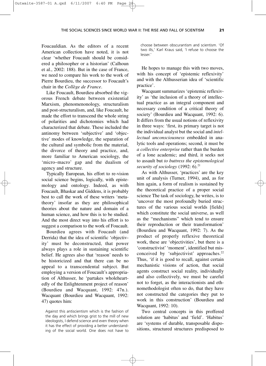Foucauldian. As the editors of a recent American collection have noted, it is not clear 'whether Foucault should be considered a philosopher or a historian' (Calhoun et al., 2002: 188). But in the case of France, we need to compare his work to the work of Pierre Bourdieu, the successor to Foucault's chair in the *Collège de France*.

Outwaite-3587-01 A.qxd 6/11/2007 6:40 PM Page 21

Like Foucault, Bourdieu absorbed the vigorous French debate between existential Marxism, phenomenonology, structuralism and post-structuralism, and, like Foucault, he made the effort to transcend the whole string of polarities and dichotomies which had characterized that debate. These included the antinomy between 'subjective' and 'objective' modes of knowledge, the separation of the cultural and symbolic from the material, the divorce of theory and practice, and, more familiar to American sociology, the 'micro–macro' gap and the dualism of agency and structure.

Typically European, his effort to re-vision social science begins, logically, with epistemology and ontology. Indeed, as with Foucault, Bhaskar and Giddens, it is probably best to call the work of these writers 'metatheory' insofar as they are philosophical theories about the nature and domain of a human science, and how this is to be studied. And the most direct way into his effort is to suggest a comparison to the work of Foucault.

Bourdieu agrees with Foucault (and Derrida) that the idea of scientific 'objectivity' must be deconstructed, that power always plays a role in sustaining scientific belief. He agrees also that 'reason' needs to be historicized and that there can be no appeal to a transcendental subject. But employing a version of Foucault's appropriation of Althusser, he 'partakes wholeheartedly of the Enlightenment project of reason' (Bourdieu and Wacquant, 1992: 47n.). Wacquant (Bourdieu and Wacquant, 1992: 47) quotes him:

Against this antiscientism which is the fashion of the day and which brings grist to the mill of new ideologists, I defend science and even theory when it has the effect of providing a better understanding of the social world. One does not have to choose between obscurantism and scientism. 'Of two ills,' Karl Kraus said, 'I refuse to choose the lesser.'

He hopes to manage this with two moves, with his concept of 'epistemic reflexivity' and with the Althusserian idea of 'scientific practice'.

Wacquant summarizes 'epistemic reflexivity' as 'the inclusion of a theory of intellectual practice as an integral component and necessary condition of a critical theory of society' (Bourdieu and Wacquant, 1992: 6). It differs from the usual notions of reflexivity in three ways: 'first, its primary target is not the individual analyst but the social and *intellectual unconsciousness* embedded in analytic tools and operations; second, it must be *a collective enterprise* rather than the burden of a lone academic; and third, it seeks not to assault but *to buttress the epistemological* security of sociology (1992: 6).<sup>21</sup>

As with Althusser, 'practices' are the key unit of analysis (Turner, 1994), and, as for him again, a form of realism is sustained by the theoretical practice of a proper social science The task of sociology, he writes, is to 'uncover the most profoundly buried structures of the various social worlds [fields] which constitute the social universe, as well as the "mechanisms" which tend to ensure their reproduction or their transformation' (Bourdieu and Wacquant, 1992: 7). As the product of properly reflexive theoretical work, these are 'objectivities', but there is a 'constructivist' 'moment', identified but misconceived by 'subjectivist' approaches.<sup>22</sup> Thus, 'if it is good to recall, against certain mechanistic visions of action, that social agents construct social reality, individually and also collectively, we must be careful not to forget, as the interactionists and ethnomethodologist often so do, that they have not constructed the categories they put to work in this construction' (Bourdieu and Wacquant, 1992: 10).

Two central concepts in this proffered solution are 'habitus' and 'field'. 'Habitus' are 'systems of durable, transposable dispositions, structured structures predisposed to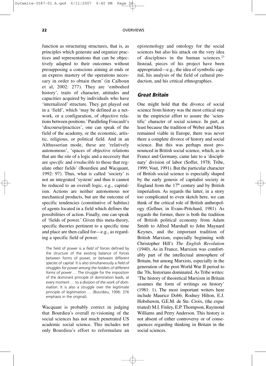#### OVERVIEWS

function as structuring structures, that is, as principles which generate and organize practices and representations that can be objectively adapted to their outcomes without presupposing a conscious aiming at ends or an express mastery of the operations necessary in order to obtain them' (in Calhoun et al, 2002: 277). They are 'embodied history', traits of character, attitudes and capacities acquired by individuals who have 'internalized' structure. They get played out in a 'field', which 'may be defined as a network, or a configuration, of objective relations between positions.'Paralleling Foucault's 'discourse/practices', one can speak of the field of the academy, or the economic, artistic, religious, or political field. And in an Althusserian mode, these are 'relatively autonomous', 'spaces of objective relations that are the site of a logic and a necessity that are *specific* and *irreducible* to those that regulate other fields' (Bourdieu and Wacquant, 1992: 97). Thus, what is called 'society' is not an integrated 'system' and thus it cannot be reduced to an overall logic, e.g., capitalism. Actions are neither autonomous nor mechanical products, but are the outcome of specific tendencies (constitutive of habitus) of agents located in a field which defines the possibilities of action. Finally, one can speak of 'fields of power.' Given this meta-theory, specific theories pertinent to a specific time and place are then called for—e.g., as regarding a specific field of power.

The field of power is a *field of forces* defined by the structure of the existing balance of forces between forms of power, or between different species of capital. It is also simultaneously a *field of struggles for power among the holders of different forms of power* … The struggle for the imposition of the dominant principle of domination leads, at every moment … to a *division of the work of domination*. It is also a struggle over the legitimate principle of legitimation … (Bourdieu, 1996: 376 emphasis in the original).

Wacquant is probably correct in judging that Bourdieu's overall re-visioning of the social sciences has not much penetrated US academic social science. This includes not only Bourdieu's effort to reformulate an epistemology and ontology for the social sciences but also his attack on the very idea of disciplines in the human sciences. $23$ Instead, pieces of his project have been appropriated—e.g., the idea of symbolic capital, his analysis of the field of cultural production, and his critical ethnographies.

#### **Great Britain**

One might hold that the divorce of social science from history was the most critical step in the empiricist effort to assure the 'scientific' character of social science. In part, at least because the tradition of Weber and Marx remained viable in Europe, there was never there a complete divorce of history and social science. But this was perhaps most pronounced in British social science, which, as in France and Germany, came late to a 'disciplinary' division of labor (Soffer, 1978; Tribe, 1999; Vout, 1991). But the particular character of British social science is especially shaped by the early genesis of capitalist society in England from the  $17<sup>th</sup>$  century and by British imperialism. As regards the latter, in a story too complicated to even sketch here, we can think of the critical role of British anthropology (Gellner, in Evans-Pritchard, 1981). As regards the former, there is both the tradition of British political economy from Adam Smith to Alfred Marshall to John Maynard Keynes, and the important tradition of British Marxism, especially beginning with Christopher Hill's *The English Revolution* (1940). As in France, Marxism was comfortably part of the intellectual atmosphere of Britain, but among Marxists, especially in the generation of the post-World War II period to the 70s, historians dominated. As Tribe writes: 'The history of theoretical Marxism in Britain assumes the form of writings on history' (1981: 1). The most important writers here include Maurice Dobb, Rodney Hilton, E.J. Hobsbawm, G.E.M. de Ste. Croix, (the expatriated) M.I. Finley, E.P. Thompson, Raymond Williams and Perry Anderson. This history is not absent of either controversy or of consequences regarding thinking in Britain in the social sciences.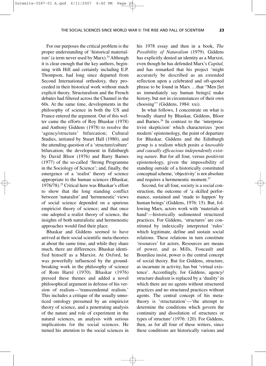For our purposes the critical problem is the proper understanding of 'historical materialism' (a term never used by Marx).<sup>24</sup> Although it is clear enough that the key authors, beginning with Hill and certainly including E.P. Thompson, had long since departed from Second International orthodoxy, they proceeded in their historical work without much explicit theory. Structuralism and the French debates had filtered across the Channel in the 60s. At the same time, developments in the philosophy of science in both the US and France entered the argument. Out of this welter came the efforts of Roy Bhaskar (1978) and Anthony Giddens (1978) to resolve the 'agency/structure' bifurcation; Cultural Studies, initiated by Stuart Hall (1980), and the attending question of a 'structure/culture' bifurcation; the development in Edinburgh by David Bloor (1976) and Barry Barnes (1977) of the so-called 'Strong Programme in the Sociology of Science'; and, finally, the emergence of a 'realist' theory of science appropriate to the human sciences (Bhaskar, 1976/78).25 Critical here was Bhaskar's effort to show that the long standing conflict between 'naturalist' and 'hermeneutic' views of social science depended on a spurious empiricist theory of science; and that once one adopted a realist theory of science, the insights of both naturalistic and hermeneutic approaches would find their place.

Outwaite-3587-01 A.qxd 6/11/2007

Bhaskar and Giddens seemed to have arrived at their social scientific meta-theories at about the same time, and while they share much, there are differences. Bhaskar identified himself as a Marxist. At Oxford, he was powerfully influenced by the groundbreaking work in the philosophy of science of Rom Harré (1970). Bhaskar (1976) pressed these themes and added a novel philosophical argument in defense of his version of realism—'transcendental realism.' This includes a critique of the usually unnoticed ontology presumed by an empiricist theory of science, and a penetrating analysis of the nature and role of experiment in the natural sciences, an analysis with serious implications for the social sciences. He turned his attention to the social sciences in his 1978 essay and then in a book, *The Possibility of Naturalism* (1979). Giddens has explicitly denied an identity as a Marxist, even though he has defended Marx's *Capital,* and has remarked that his project 'might accurately be described as an extended reflection upon a celebrated and oft-quoted phrase to be found in Marx …that "Men [let us immediately say human beings] make history, but not in circumstances of their own choosing"' (Giddens, 1984: xxi).

In what follows, I concentrate on what is broadly shared by Bhaskar, Giddens, Bloor and Barnes.26 In contrast to the 'interpretativist skepticism' which characterizes 'post modern' epistemology, the point of departure for Bhaskar, Giddens and the Edinburgh group is a realism which posits *a knowable and causally efficacious independently existing nature*. But for all four, versus positivist epistemology, given the impossibility of standing outside of a historically constituted conceptual scheme, 'objectivity'is not absolute and requires a hermeneutic moment.<sup>27</sup>

Second, for all four, society is a social construction, the outcome of 'a skilled performance, sustained and 'made to happen' by human beings' (Giddens, 1976: 15). But, following Marx, actors work with 'materials at hand'—historically sedimented structured practices. For Giddens, 'structures' are constituted by indexically interpreted 'rules' which legitimate, define and sustain social relations. These relations in turn constitute 'resources' for actors. Resources are means of power, and as Mills, Foucault and Bourdieu insist, power is the central concept of social theory. But for Giddens, structure, as incarnate in activity, has but 'virtual existence'. Accordingly, for Giddens, agency/ structure dualism is replaced by a 'duality' in which there are no agents without structured practices and no structured practices without agents. The central concept of his metatheory is 'structuration'—'the attempt to determine the conditions which govern the continuity and dissolution of structures or types of structure' (1976: 120). For Giddens, then, as for all four of these writers, since these conditions are historically various and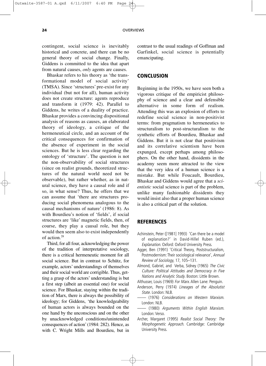contingent, social science is inevitably historical and concrete, and there can be no general theory of social change. Finally, Giddens is committed to the idea that apart from natural causes, *only* agents are causes.

Bhaskar refers to his theory as 'the transformational model of social activity' (TMSA). Since 'structures' pre-exist for any individual (but not for all), human activity does not create structure: agents reproduce and transform it (1979: 42). Parallel to Giddens, he writes of a duality of practice. Bhaskar provides a convincing dispositional analysis of reasons as causes, an elaborated theory of ideology, a critique of the hermeneutical circle, and an account of the critical consequences for confirmation of the absence of experiment in the social sciences. But he is less clear regarding the ontology of 'structure'. The question is not the non-observability of social structures (since on realist grounds, theoretized structures of the natural world need not be observable), but rather whether, as in natural science, they have a causal role and if so, in what sense? Thus, he offers that we can assume that 'there are structures producing social phenomena analogous to the causal mechanisms of nature' (1986: 8). As with Bourdieu's notion of 'fields', if social structures are 'like' magnetic fields, then, of course, they play a causal role, but they would then seem also to exist independently of action.28

Third, for all four, acknowledging the power of the tradition of interpretative sociology, there is a critical hermeneutic moment for all social science. But in contrast to Schütz, for example, actors' understandings of themselves and their social world are corrigible. Thus, getting a grasp of the actors' understanding is but a first step (albeit an essential one) for social science. For Bhaskar, staying within the tradition of Marx, there is always the possibility of ideology; for Giddens, 'the knowledgeability of human actors is always bounded on the one hand by the unconscious and on the other by unacknowledged conditions/unintended consequences of action'(1984: 282). Hence, as with C. Wright Mills and Bourdieu, but in contrast to the usual readings of Goffman and Garfinkel, social science is potentially emancipating.

### **CONCLUSION**

Beginning in the 1950s, we have seen both a vigorous critique of the empiricist philosophy of science and a clear and defensible alternative in some form of realism. Attending this was an explosion of efforts to redefine social science in non-positivist terms: from pragmatism to hermeneutics to structuralism to post-structuralism to the synthetic efforts of Bourdieu, Bhaskar and Giddens. But it is not clear that positivism and its correlative scientism have been expunged, except perhaps among philosophers. On the other hand, dissidents in the academy seem more attracted to the view that the very idea of a human science is a mistake. But while Foucault, Bourdieu, Bhaskar and Giddens would agree that a *scientistic* social science is part of the problem, unlike many fashionable dissidents they would insist also that a proper human science is also a critical part of the solution.

#### **REFERENCES**

- Achinstein, Peter ([1981] 1993) 'Can there be a model of explanation?' in David-Hillel Ruben (ed.), Explanation. Oxford: Oxford University Press.
- Agger, Ben (1991) 'Critical Theory, Poststructuralism, Postmodernism: Their sociological relevance', Annual Review of Sociology, 17, 105–131.
- Almond, Gabriel, and Verba, Sidney (1965) The Civic Culture: Political Attitudes and Democracy in Five Nations and Analytic Study. Boston: Little Brown.
- Althusser, Louis (1969) For Marx. Allen Lane: Penguin.
- Anderson, Perry (1974) Lineages of the Absolutist State. London: NLB.
- (1976) Considerations on Western Marxism. London: NLB.
- —— (1980) Arguments Within English Marxism. London: Verso.
- Archer, Margaret (1995) Realist Social Theory: The Morphogenetic Approach. Cambridge: Cambridge University Press.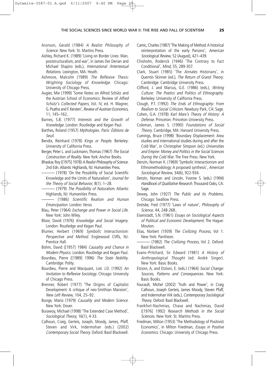THE SOCIAL SCIENCES SINCE WORLD WAR II: THE RISE AND FALL OF SCIENTISM **25**

- Aronson, Gerald (1984) A Realist Philosophy of Science. New York: St. Martins Press.
- Ashley, Richard K. (1989) 'Living on Border Lines: Man, poststructuralism, and war', in James Der Derian and Michael Shapiro (eds.), International /Intertextual Relations. Lexington, MA: Heath.
- Ashmore, Malcolm (1989) The Reflexive Thesis: Wrighting Sociology of Knowledge. Chicago: University of Chicago Press.
- Augier, Mie (1999) 'Some Notes on Alfred Schütz and the Austrian School of Economics: Review of Alfred Schütz's Collected Papers, Vol. IV, ed. H. Wagner, G. Psatha and F. Kersten', Review of Austrian Economics, 11, 145–162..
- Barnes, S.B. (1977) Interests and the Growth of Knowledge. London: Routledge and Kegan Paul.
- Barthes, Roland (1957) Mythologies. Paris: Éditions de Seuil.
- Bendix, Reinhard (1978) Kings or People. Berkeley: University of California Press.
- Berger, Peter L. and Luckmann, Thomas (1967) The Social Construction of Reality. New York: Anchor Books.
- Bhaskar, Roy ([1975] 1978) A Realist Philosophy of Science. 2nd Edn. Atlantic Highlands, NJ: Humanities Press.
- (1978) 'On the Possibility of Social Scientific Knowledge and the Limits of Naturalism', Journal for the Theory of Social Behavior, 8(1). 1–28.
- (1979) The Possibility of Naturalism. Atlantic Highlands, NJ: Humanities Press.
- (1986) Scientific Realism and Human Emancipation. London: Verso.
- Blau, Peter (1964) Exchange and Power in Social Life. New York: John Wiley.
- Bloor, David (1976) Knowledge and Social Imagery. London: Routledge and Kegan Paul.
- Blumer, Herbert (1969) Symbolic Interactionism: Perspective and Method. Englewood Cliffs, NJ: Prentice Hall.
- Bohm, David ([1957] 1984) Causality and Chance in Modern Physics. London: Routledge and Kegan Paul.
- Bourdieu, Pierre ([1989] 1996) The State Nobility. Cambridge: Polity.
- Bourdieu, Pierre and Wacquant, Loïc J.D. (1992) An Invitation to Reflexive Sociology. Chicago: University of Chicago Press.
- Brenner, Robert (1977) 'The Origins of Capitalist Development: A critique of neo-Smithian Marxism', New Left Review, 104, 25–92.
- Bunge, Mario (1979) Causality and Modern Science. New York: Dover.
- Burawoy, Michael (1998) 'The Extended Case Method', Sociological Theory, 16(1), 4-33.
- Calhoun, Craig, Gerteis, Joseph, Moody, James, Pfaff, Steven and Virk, Indermohan (eds.) (2002) Contemporary Social Theory. Oxford: Basil Blackwell.
- Camic, Charles (1987) 'The Making of Method:A historical reinterpretation of the early Parsons', American Sociological Review, 52 (August), 421–439.
- Chisholm, Roderick (1946) 'The Contrary to Fact Conditional', Mind, 55, 289-307.
- Clark, Stuart (1985) 'The Annales Historians', in Quentin Skinner (ed.), The Return of Grand Theory. Cambridge: Cambridge University Press.
- Clifford, J. and Marcus, G.E. (1986) (eds.), Writing Culture: The Poetics and Politics of Ethnography. Berkeley: University of California Press.
- Clough, P.T. (1992) The Ends of Ethnography: From Realism to Social Criticism. Newbury Park, CA: Sage.
- Cohen, G.A. (1978) Karl Marx's Theory of History: A Defense. Princeton: Princeton University Press.
- Coleman, James S. (1990) Foundations of Social Theory. Cambridge, MA: Harvard University Press.
- Cumings, Bruce (1998) 'Boundary Displacement: Area studies and international studies during and after the Cold War', in Christopher Simpson (ed.) Universities and Empire: Money and Politics in the Social Sciences During the Cold War. The Free Press: New York.
- Denzin, Norman K. (1969) 'Symbolic Interactionism and Ethnomethodology: A proposed synthesis', American Sociological Review, 34(6), 922-934.
- Denzin, Norman and Lincoln, Yvonne S. (eds.) (1994) Handbook of Qualitative Research. Thousand Oaks, CA: Sage.
- Dewey, John (1927) The Public and Its Problems. Chicago: Swallow Press.
- Dretske, Fred (1977) 'Laws of nature', Philosophy of Science, 44, 248-268..
- Eisenstadt, S.N. (1961) Essays on Sociological Aspects of Political and Economic Development. The Hague: Mouton.
- Elias, Norbert (1939) The Civilizing Process, Vol 1. New York: Pantheon.
- (1982) The Civilizing Process, Vol 2. Oxford: Basil Blackwell.
- Evans–Pritchard, Sir Edward (1981) A History of Anthropological Thought (ed. André Singer). New York: Basic Books.
- Etzioni, A, and Etzioni, E. (eds.) (1964) Social Change: Sources, Patterns and Consequences. New York: Basic Books.
- Foucault, Michel (2002) 'Truth and Power', in Craig Calhoun, Joseph Gerteis, James Moody, Steven Pfaff, and Indermohan Virk (eds.), Contemporary Sociological Theory. Oxford: Basil Blackwell.
- Frankfort-Nachmias, Chava and Nachmias, David ([1976] 1992) Research Methods in the Social Sciences. New York: St. Martins Press.
- Friedman, Milton (1953) 'The Methodology of Positivist Economics', in Milton Friedman, Essays in Positive Economics. Chicago: University of Chicago Press.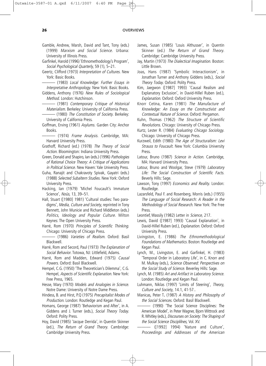#### **OVERVIEWS**

- Gamble, Andrew, Marsh, David and Tant, Tony (eds.) (1999) Marxism and Social Science. Urbana: University of Illinois Press.
- Garfinkel, Harold (1996) 'Ethnomethodology's Program', Social Psychological Quarterly, 59 (1), 5–21.
- Geertz, Clifford (1973) Interpretation of Cultures. New York: Basic Books.
- (1983) Local Knowledge: Further Essays in Interpretative Anthropology. New York: Basic Books.
- Giddens, Anthony (1976) New Rules of Sociological Method. London: Hutchinson.
- (1981) Contemporary Critique of Historical Materialism. Berkeley: University of California Press.
- $-$  (1980) The Constitution of Society. Berkeley: University of California Press.
- Goffman, Erving (1961) Asylums. Garden City: Anchor Books.
- (1974) Frame Analysis. Cambridge, MA: Harvard University Press.
- Grathoff, Richard (ed.) (1978) The Theory of Social Action. Bloomington: Indiana University Press.
- Green, Donald and Shapiro, Ian (eds.) (1996) Pathologies of Rational Choice Theory: A Critique of Applications in Political Science. New Haven: Yale University Press.
- Guha, Ranajit and Chakravoty Spivak, Gayatri (eds.) (1988) Selected Subaltern Studies. New York: Oxford University Press.
- Hacking, Ian (1979) 'Michel Foucault's Immature Science', Noüs, 13, 39–51.
- Hall, Stuart ([1980] 1981) 'Cultural studies: Two paradigms', Media, Culture and Society, reprinted in Tony Bennett, John Municie and Richard Middleton (eds.) Politics, Ideology and Popular Culture. Milton Keynes: The Open University Press.
- Harré, Rom (1970) Principles of Scientific Thinking. Chicago: University of Chicago Press.
- (1986) Varieties of Realism. Oxford: Basil Blackwell.
- Harré, Rom and Secord, Paul (1973) The Explanation of Social Behavior. Totowa, NJ: Littlefield, Adams.
- Harré, Rom and Madden, Edward (1975) Causal Powers. Oxford: Basil Blackwell.
- Hempel, C.G. (1950) 'The Theoretician's Dilemma', C.G. Hempel, Aspects of Scientific Explanation. New York: Free Press, 1965.
- Hesse, Mary (1970) Models and Analogies in Science. Notre Dame: University of Notre Dame Press.
- Hindess, B. and Hirst, P.Q (1975) Precapitalist Modes of Production. London: Routledge and Kegan Paul.
- Homans, George (1987) 'Behaviorism and After', in A. Giddens and J. Turner (eds.), Social Theory Today. Oxford: Polity Press.
- Hoy, David (1985) 'Jacque Derrida', in Quentin Skinner (ed.), The Return of Grand Theory. Cambridge: Cambridge University Press.
- James, Susan (1985) 'Louis Althusser', in Quentin Skinner (ed.) The Return of Grand Theory. Cambridge: Cambridge University Press.
- Jay, Martin (1973) The Dialectical Imagination. Boston: Little Brown.
- Joas, Hans (1987) 'Symbolic Interactionism', in Jonathan Turner and Anthony Giddens (eds.), Social Theory Today. Oxford: Polity Press.
- Kim, Jaegwon ([1987] 1993) 'Causal Realism and Explanatory Exclusion', in David-Hillel Ruben (ed.), Explanation. Oxford: Oxford University Press.
- Knorr Cetina, Karen (1981) The Manufacture of Knowledge: An Essay on the Constructivist and Contextual Nature of Science. Oxford: Pergamon.
- Kuhn, Thomas (1962) The Structure of Scientific Revolutions. Chicago: University of Chicago Press.
- Kurtz, Lester R. (1984) Evaluating Chicago Sociology. Chicago: University of Chicago Press.
- Kurzweil, Edith (1980) The Age of Structuralism: Levi Strauss to Foucault. New York: Columbia University Press.
- Latour, Bruno (1987) Science in Action. Cambridge, MA: Harvard University Press.
- Latour, Bruno and Woolgar, Steve (1979) Laboratory Life: The Social Construction of Scientific Facts. Beverly Hills: Sage.
- Lawson, Tony (1997) Economics and Reality. London: Routledge.
- Lazarsfeld, Paul F. and Rosenberg, Morris (eds.) (1955) The Language of Social Research: A Reader in the Methodology of Social Research. New York: The Free Press.

Leontief, Wassily (1982) Letter in Science, 217.

- Lewis, David ([1987] 1993) 'Causal Explanation', in David-Hillel Ruben (ed.), Explanation. Oxford: Oxford University Press.
- Livingston, E. (1986) The Ethnomethodological Foundations of Mathematics. Boston: Routledge and Kegan Paul.
- Lynch, M., Livingston, E. and Garfinkel, H. (1983) 'Temporal Order in Laboratory Life', in C. Knorr and M. Mulkay (eds.), Science Observed: Perspectives on the Social Study of Science. Beverley Hills: Sage.
- Lynch, M. (1985) Art and Artifact in Laboratory Science. London: Routledge and Kegan Paul.
- Luhmann, Niklas (1997) 'Limits of Steering', Theory, Culture and Society, 14.1, 41-57..
- Manicas, Peter T**.** (1987) A History and Philosophy of the Social Sciences. Oxford: Basil Blackwell.
- ——— (1990) 'The Social Science Disciplines: The American Model', in Peter Wagner, Bjorn Wittrock and R.Whitley (eds.), Discourses on Society: The Shaping of the Social Science Disciplilnes, Vol. XV.
- ——— ([1992] 1994) 'Nature and Culture', Proceedings and Addresses of the American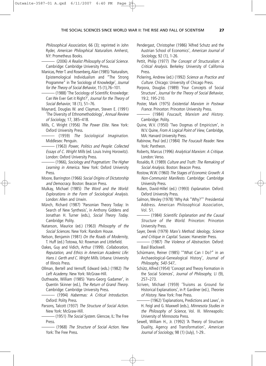Philosophical Association, 66 (3); reprinted in John Ryder, American Philosphical Naturalism. Amherst, NY: Prometheus Books.

(2006) A Realist Philosophy of Social Science. Cambridge: Cambridge University Press.

- Manicas, Peter T. and Rosenberg,Alan (1985) 'Naturalism, Epistemological Individualism and "The Strong Programme" in The Sociology of Knowledge', Journal for the Theory of Social Behavior, 15 (1),76–101.
- $-$  (1988) 'The Sociology of Scientific Knowledge: Can We Ever Get it Right?', Journal for the Theory of Social Behavior, 18 (1), 51–76.
- Maynard, Douglas W. and Clayman, Steven E. (1991) 'The Diversity of Ethnomethodology', Annual Review of Sociology, 17, 385–418.
- Mills, C. Wright (1956) The Power Elite. New York: Oxford University Press.
- (1959) The Sociological Imagination. Middlesex: Penguin.
- ——— (1963) Power, Politics and People: Collected Essays of C. Wright Mills (ed. Louis Irving Horowitz). London: Oxford University Press.
- (1966), Sociology and Pragmatism: The Higher Learning in America. New York: Oxford University Press.
- Moore, Barrington (1966) Social Origins of Dictatorship and Democracy. Boston: Beacon Press.
- Mulkay, Michael (1985) The Word and the World: Explorations in the Form of Sociological Analysis. London: Allen and Unwin.
- Münch, Richard (1987) 'Parsonian Theory Today: In Search of New Synthesis', in Anthony Giddens and Jonathan H. Turner (eds.), Social Theory Today. Cambridge: Polity.
- Natanson, Maurice (ed.) (1963) Philosophy of the Social Sciences. New York: Random House.
- Nelson, Benjamin (1981) On the Roads of Modernity, T. Huff (ed.) Totowa, NJ: Rowman and Littlefield.
- Oakes, Guy and Vidich, Arthur (1999). Collaboration, Reputation, and Ethics in American Academic Life: Hans J. Gerth and C. Wright Mills. Urbana: University of Illinois Press.
- Ollman, Bertell and Vernoff, Edward (eds.) (1982) The Left Academy. New York: McGraw-Hill.
- Outhwaite, William (1985) 'Hans-Georg Gadamer', in Quentin Skinner (ed.), The Return of Grand Theory. Cambridge: Cambridge University Press.
- (1994) Habermas: A Critical Introduction. Oxford: Polity Press.
- Parsons, Talcott (1937) The Structure of Social Action. New York: McGraw-Hill.
- (1951) The Social System. Glencoe, IL: The Free Press.
- (1968) *The Structure of Social Action.* New York: The Free Press.
- Pendergast, Christopher (1986) 'Alfred Schutz and the Austrian School of Economics', American Journal of Sociology, 92 (1), 1-26.
- Pettit, Philip (1977) The Concept of Structuralism: A Critical Analysis. Berkeley: University of California Press.
- Pickering, Andrew (ed.) (1992) Science as Practice and Culture. Chicago: University of Chicago Press.
- Porpora, Douglas (1989) 'Four Concepts of Social Structure', Journal for the Theory of Social Behavior, 19:2, 195-210.
- Poster, Mark (1975) Existential Marxism in Postwar France. Princeton: Princeton University Press.
- (1984) Foucault, Marxism and History. Cambridge: Polity.
- Quine, W.V. (1950) 'Two Dogmas of Empiricism', in W.V. Quine, From A Logical Point of View, Cambridge, MA: Harvard University Press.
- Rabinow, Paul (ed.) (1984) The Foucault Reader. New York: Pantheon.
- Roberts, Marcus (1996) Analytical Marxism: A Critique. London: Verso.
- Rosaldo, R. (1989) Culture and Truth: The Remaking of Social Analysis. Boston: Beacon Press.
- Rostow,W.W. (1960) The Stages of Economic Growth: A Non-Communist Manifesto. Cambridge: Cambridge University Press.
- Ruben, David-Hillel (ed.) (1993) Explanation. Oxford: Oxford University Press.
- Salmon, Wesley (1978) 'Why Ask "Why?"' Presidential Address. American Philosophical Association, Vol. 51.
- (1984) Scientific Explanation and the Causal Structure of the World. Princeton: Princeton University Press.
- Sayer, Derek (1979) Marx's Method: Ideology, Science and Critique in Capital. Sussex: Harvester Press.
- (1987) The Violence of Abstraction. Oxford: Basil Blackwell.
- Schürmann, Reiner (1985) '"What Can I Do?" in an Archaeological-Genealogical History', Journal of Philosophy, 540-547..
- Schütz, Alfred (1954) 'Concept and Theory Formation in the Social Sciences', Journal of Philosophy, LI (9), 257–273.
- Scriven, Michael (1959) 'Truisms as Ground for Historical Explanations', in P. Gardiner (ed.), Theories of History. New York: Free Press.
- (1962) 'Explanations, Predictions and Laws', in H. Feigl and G. Maxwell (eds.), Minnesota Studies in the Philosophy of Science, Vol. III. Minneapolis: University of Minnosota Press.
- Sewell, William H., Jr. (1992) 'A Theory of Structure: Duality, Agency and Transformation', American Journal of Sociology, 98 (1) (July), 1-29..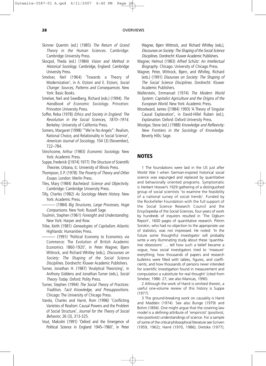#### **28**

#### OVERVIEWS

- Skinner Quentin (ed.) (1985) The Return of Grand Theory in the Human Sciences. Cambridge: Cambridge University Press.
- Skocpol, Theda (ed.) (1984) Vision and Method in Historical Sociology. Cambridge, England: Cambridge University Press.
- Smelser, Neil (1964) 'Towards a Theory of Modernization', in A. Etzioni and E. Etzioni, Social Change: Sources, Patterns and Consequences. New York: Basic Books.
- Smelser, Neil and Swedberg, Richard (eds.) (1994). The Handbook of Economic Sociology. Princeton: Princeton University Press.
- Soffer, Reba (1978) Ethics and Society in England: The Revolution in the Social Sciences, 1870–1914. Berkeley: University of California Press.
- Somers, Margaret (1998) '"We're No Angels": Realism, Rational Choice, and Relationality in Social Science', American Journal of Sociology, 104 (3) (November), 722–784.
- Stinchcome, Arthur (1983) Economic Sociology. New York: Academic Press.
- Suppe, Frederick ([1974] 1977) The Structure of Scientific Theories. Urbana, IL: University of Illinois Press.
- Thompson, E.P. (1978) The Poverty of Theory and Other Essays. London: Merlin Press.
- Tiles, Mary (1984) Bachelard: Science and Objectivity. Cambridge: Cambridge University Press.
- Tilly, Charles (1982) As Sociology Meets History. New York: Academic Press.
- $-$  (1984) Big Structures, Large Processes, Huge Comparisons. New York: Russell Sage.
- Toulmin, Stephen (1961) Foresight and Understanding. New York: Harper and Row.
- Tribe, Keith (1981) Genealogies of Capitalism. Atlantic Highlands: Humanities Press.
- (1991) 'Political Economy to Economics via Commerce: The Evolution of British Academic Economics 1860-1920', in Peter Wagner, Bjørn Wittrock, and Richard Whitley (eds.), Discourses on Society: The Shaping of the Social Science Disciplines. Dordrecht: Kluwer Academic Publishers.
- Turner, Jonathan H. (1987) 'Analytical Theorizing', in Anthony Giddens and Jonathan Turner (eds.), Social Theory Today. Oxford: Polity Press.
- Turner, Stephen (1994) The Social Theory of Practices: Tradition, Tacit Knowledge, and Presuppositions. Chicago: The University of Chicago Press.
- Varela, Charles and Harré, Rom (1996) 'Conflicting Varieties of Realism: Causal Powers and the Problem of Social Structure', Journal for the Theory of Social Behavior, 26 (3), 313-325.
- Vout, Malcolm (1991) 'Oxford and the Emergence of Political Science in England 1945–1960', in Peter

Wagner, Bjørn Wittrock, and Richard Whitley (eds.), Discourses on Society: The Shaping of the Social Science Disciplines. Dordrecht: Kluwer Academic Publishers.

- Wagner, Helmut (1983) Alfred Schütz: An Intellectual Biography. Chicago: University of Chicago Press.
- Wagner, Peter, Wittrock, Bjørn, and Whitley, Richard (eds.) (1991) Disourses on Society: The Shaping of The Social Science Disciplines. Dordrecht: Kluwer Academic Publishers.
- Wallerstein, Emmanuel (1974) The Modern World System: Capitalist Agriculture and the Origins of the European World. New York: Academic Press.
- Woodward, James ([1984] 1993) 'A Theory of Singular Causal Explanation', in David-Hillel Ruben (ed.), Explanation. Oxford: Oxford University Press.
- Woolgar, Steve (ed.) (1988) Knowledge and Reflexivity: New Frontiers in the Sociology of Knowledge. Beverly Hills: Sage.

## **NOTES**

1 The foundations were laid in the US just after World War I when German-inspired historical social science was expunged and replaced by quantitative and behaviorally oriented programs. Symptomatic is Herbert Hoover's 1929 gathering of a distinguished group of social scientists 'to examine the feasibility of a national survey of social trends'. Funded by the Rockefeller Foundation with the full support of the Social Science Research Council and the Encyclopedia of the Social Sciences, four years of work by hundreds of inquirers resulted in 'The Ogburn Report', 1600 pages of quantitative research. Pitirim Sorokin, who had no objection to the appropriate use of statistics, was not impressed. He noted: 'In the future some thoughtful investigator will probably write a very illuminating study about these 'quantitative obsessions' … tell how such a belief became a vogue, how social investigators tried to 'measure' everything; how thousands of papers and research bulletins were filled with tables, figures, and coefficients; and how thousands of persons never intended for scientific investigation found in measurement and computation a substitute for real thought' (cited from Smelser, 1986: 27; see also Manicas, 1990).

2 Although the work of Harré is omitted therein, a useful one-volume review of this history is Suppe (1977).

3 The ground-breaking work on causality is Harré and Madden (1974). See also Bunge (1979) and Bohm (1894). One might argue that the covering law model is a *defining* attribute of 'empiricist' (positivist, neo-positivist) understandings of science. For a sample of some of the critical philosophical literature see Scriven (1959, 1962); Harré (1970, 1986); Dretske (1977);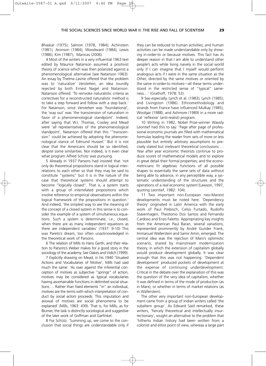Bhaskar (1975); Salmon (1978, 1984); Achinstein (1981); Aronson (1984); Woodward (1984); Lewis (1986); Kim (1987), Manicas (2006).

4 Most of the writers in a very influential 1963 text edited by Maurice Natanson assumed a positivist theory of science which was then polarized against a phenomenological alternative (see Natanson 1963). An essay by Thelma Lavine offered that the problem was to 'naturalize' *Verstehen*, an idea roundly rejected by both Ernest Nagel and Natanson. Natanson offered: 'To reinvoke naturalistic criteria as correctives for a reconstructed naturalistic method is to take a step forward and follow with a step back.' For Natanson, since *Verstehen* was 'foundational', the 'way out' was 'the transcension of naturalism in favor of a phenomenological standpoint'. Indeed, after saying that W.I. Thomas, Cooley and Mead were 'all representatives of the phenomenological standpoint', Natanson offered that this '"transcension" could be achieved by adopting the phenomenological stance of Edmund Husserl.' But it is not clear that the Americans should be so identified, despite some similarities. Nor indeed, is it even clear what program Alfred Schütz was pursuing.

5 Already in 1937 Parsons had insisted that 'not only do theoretical propositions stand in logical interrelations to each other so that they may be said to constitute "systems" but it is in the nature of the case that theoretical systems should attempt to become "logically closed". That is, a system starts with a group of interrelated propositions which involve reference to empirical observations within the logical framework of the propositions in question.' And indeed, 'the simplest way to see the meaning of the concept of a closed system in this sense is to consider the example of a system of simultaneous equations. Such a system is determinate, i.e., closed, when there are as many independent equations as there are independent variables' (1937: 9-10) This was Pareto's dream, too often unacknowledged in the theoretical work of Parsons.

6 The relation of Mills to Hans Gerth, and their relation to Parsons's Weber makes for a good story in the sociology of the academy. See Oakes and Vidich (1999).

7 Explicitly drawing on Mead, in his 1940 'Situated Actions and Vocabularies of Motive', Mills had said much the same: 'As over against the inferential conception of motives as subjective "springs" of action, motives may be considered as typical vocabularies having ascertainable functions in delimited social situations … Rather than fixed elements "in" an individual, motives are the terms with which interpretation of conduct by *social actors* proceeds. This imputation and avowal of motives are social phenomena to be explained' (Mills, 1963: 439). That is, for Mills, as for Blumer, the task is distinctly sociological and suggestive of the later work of Goffman and Garfinkel.

8 For Schütz: 'Summing up, we come to the conclusion that social things are understandable only if they can be reduced to human activities; and human activities can be made understandable only by showing in-order-to or because motives. This fact has its deeper reason in that I am able to understand other people's acts while living naively in the social world only if I can imagine that I myself would perform analogous acts if I were in the same situation as the Other, directed by the same motives or oriented by the same in-order-to motives—all these terms understood in the restricted sense of "typical" sameness…' (Grathoff, 1978: 53).

9 See especially, Lynch et al. (1983); Lynch (1985); and Livingston (1986). Ethnomethodology and strands from France have influenced Mulkay (1985), Woolgar (1988), and Ashmore (1989) in a more radical 'reflexive' (anti-realist) program.

10 Writing in 1982, Nobel Prize-winner Wassily Leontief had this to say: 'Page after page of professional economic journals are filled with mathematical formulas leading the reader from sets of more or less plausible but entirely arbitrary assumptions to precisely stated but irrelevant theoretical conclusions … Year after year economic theorists continue to produce scores of mathematical models and to explore in great detail their formal properties; and the econometricians fit algebraic functions of all possible shapes to essentially the same sets of data without being able to advance, in any perceptible way, a systematic understanding of the structures and the operations of a real economic system'(Lawson, 1997, quoting Leontief, 1982: 104).

11 Two important non-European neo-Marxist developments must be noted here. 'Dependency theory' originated in Latin America with the early work of Paul Prebisch, Celso Furtado, Rudolfo Stavenhagen, Theotonio Dos Santos and Fernando Cardoso and Enzo Faletto. Appropriating key insights from the American Paul Baran, several variations, represented prominently by André Gunder Frank, Immanuel Wallerstein and Samir Amin, emerged. The central idea was the rejection of Marx's optimistic scenario, shared by mainstream modernization theory, in which the extension of capitalism globally would produce development globally. It was clear enough that this was not happening. 'Dependent development' produced pockets of development at the expense of continuing underdevelopment. Critical in the debate over the explanation of this was the question of the very idea of capitalism, whether it was defined in terms of the mode of production (as in Marx), or whether in terms of market relations (as in Wallerstein).

The other very important non-European development came from a group of Indian writers called 'the subaltern group'. As Edward Said remarked, these writers, 'fiercely theoretical and intellectually insurrectionary', sought an alternative to the problem that 'hitherto Indian history had been written from a colonist and elitist point of view, whereas a large part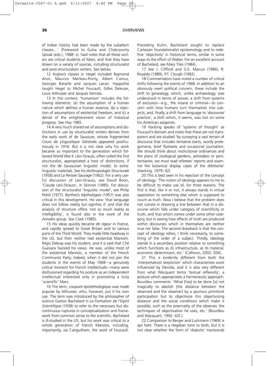**30**

of Indian history had been made by the subaltern classes…' (Foreword to Guha and Chakravorty Spivak (eds.), 1988: v). Said notes that all these writers are critical students of Marx, and that they have drawn on a variety of sources, including structuralist and post-structuralism writers. See below.

12 Kojève's classes in Hegel included Raymond Aron, Maurice Merleau-Ponty, Albert Camus, Georges Bataille and Jacques Lacan. Hyppolite taught Hegel to Michel Foucault, Gilles Deleuze, Louis Althusser and Jacques Derrida.

13 In this context, 'humanism' includes the following elements: (a) the assumption of a human nature which defines a human essence, (b) a rejection of assumptions of existential freedom, and (c) a denial of the enlightenment vision of historical progress. See Hoy 1985.

14 A very much shared set of assumptions and distinctions in use by structuralist writers derives from the early work of de Saussure, whose fragmented *Cours de Linguistique Générale* appeared posthumously in 1916. But it is not clear why his work became so important to the generation which followed World War II. Lévi-Strauss, often called the first structuralist, appropriated a host of distinctions, if not the de Saussurian linguistic model, to extralinguistic materials. See his *Anthropologie Structurale* (1958) and *La Pensée Sauvage* (1962). For a very useful discussion of Lévi-Strauss, see David Boon, 'Claude Lévi-Strauss', in Skinner (1985). For discussion of the structuralist 'linguistic model', see Philip Pettit (1977). Barthes's *Mythologies* (1957) was also critical in this development. His view 'that language does not follow reality but signifies it' and that the analysis of structure offers 'not so much reality as intelligibility', is found also in the work of the *Annales* group. See Clark (1985).

15 His ideas quickly became *de rigeur* in France, and rapidly spread to Great Britain and to various parts of the Third World. They made little headway in the US, but then neither had existential Marxism. Régis Debray was his student, and it is said that Ché Guevara favored his views. He was, unlike most of the existential Marxists, a member of the French Communist Party. Indeed, when it did not join the students in the events of May 1968—a genuinely critical moment for French intellectuals—many were disillusioned regarding his posture as an independent intellectual interested only in promoting a truly 'scientific' Marx.

16 The term, *coupure épistémologique* was made popular by Althusser, who, however, put it his own use. The term was introduced by the philosopher of science Gaston Bachelard in *La Formation de l'Esprit Scientifique* (1938) to refer to the necessary but discontinuous ruptures in conceptualization and framework from common sense to the scientific. Bachelard is ill-studied in the US, but his work was critical to a whole generation of French Marxists, including, importantly, via Canguilhem, the work of Foucault.

Preceding Kuhn, Bachelard sought to replace Cartesian foundationalist epistemology and to redefine 'objectivity' in historicist terms, similar in some ways to the effort of Weber. For an excellent account of Bachelard, see Mary Tiles (1984).

17 See J. Clifford and G.E. Marcus (1986), R. Rosaldo (1989), P.T. Clough (1992).

18 Commentators have noted a number of critical shifts following the events of 1968. In addition to an obviously overt political concern, these include the shift to genealogy, which, unlike archaeology, was understood in terms of power, a shift from systems of exclusion—e.g., the insane or criminal—to concern with how humans turn themselves into subjects; and, finally, a shift from language to 'discourse/ practice', a shift which, it seems, was lost on some his American epigones.

19 Hacking speaks of 'systems of thought' as Foucault's domain and notes that these are not transparent and are studied 'by surveying a vast terrain of discourse that includes tentative starts, wordy prolegomena, brief flysheets and occasional journalism. We should think about institutional ordinances and the plans of zoological gardens, astrolabes or penitentiaries; we must read referees' reports and examine the botanical display cases of the dilettante' (Hacking, 1979: 42).

20 This is best seen in his rejection of the concept of ideology: 'The notion of ideology appears to me to be difficult to make use of, for three reasons. The first is that, like it or not, it always stands in virtual opposition to something else which is supposed to count as truth. Now I believe that the problem does not consist in drawing a line between that in a discourse which falls under category of scientificity or truth, and that which comes under some other category, but in seeing how effects of truth are produced within discourses which in themselves are neither true nor false. The second drawback is that the concept of ideology refers, I think necessarily, to something of the order of a subject. Thirdly, ideology stands in a secondary position relative to something which functions as its infrastructure, as its material, economic determinant, etc.' (Calhoun, 2002: 204).

21 This is evidently different from both the 'interpretativist skepticism' which characterizes work influenced by Derrida, and it is also very different from what Wacquant terms 'textual reflexivity', a posture which appropriates a hermeneutic approach. Bourdieu comments: 'What [has] to be done [is] not magically to abolish [the distance between the observed and the observer] by a spurious primitivist participation but to objectivize this objectivizing distance and the social conditions which make it possible, such as the externality of the observer, the techniques of objectivation he uses, etc.' (Bourdieu and Wacquant, 1992: 42f.).

22 Comparison to Berger and Luckmann (1969) is apt here. There is a Hegelian tone to both, but it is not clear whether the form of 'dialectic' transcends